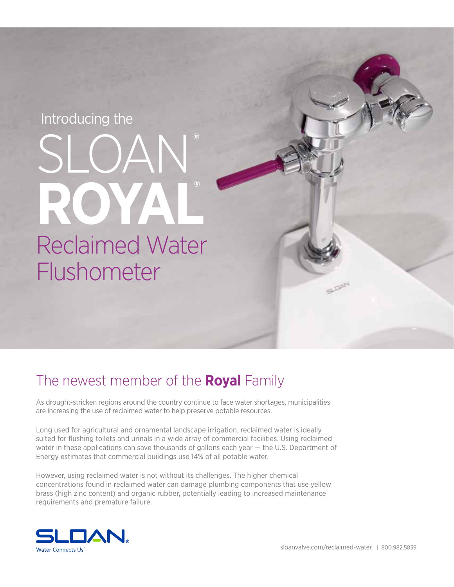# Introducing the

# SLOAN**® ROYAL®** Reclaimed Water Flushometer

# The newest member of the **Royal** Family

As drought-stricken regions around the country continue to face water shortages, municipalities are increasing the use of reclaimed water to help preserve potable resources.

Long used for agricultural and ornamental landscape irrigation, reclaimed water is ideally suited for flushing toilets and urinals in a wide array of commercial facilities. Using reclaimed water in these applications can save thousands of gallons each year — the U.S. Department of Energy estimates that commercial buildings use 14% of all potable water.

However, using reclaimed water is not without its challenges. The higher chemical concentrations found in reclaimed water can damage plumbing components that use yellow brass (high zinc content) and organic rubber, potentially leading to increased maintenance requirements and premature failure.